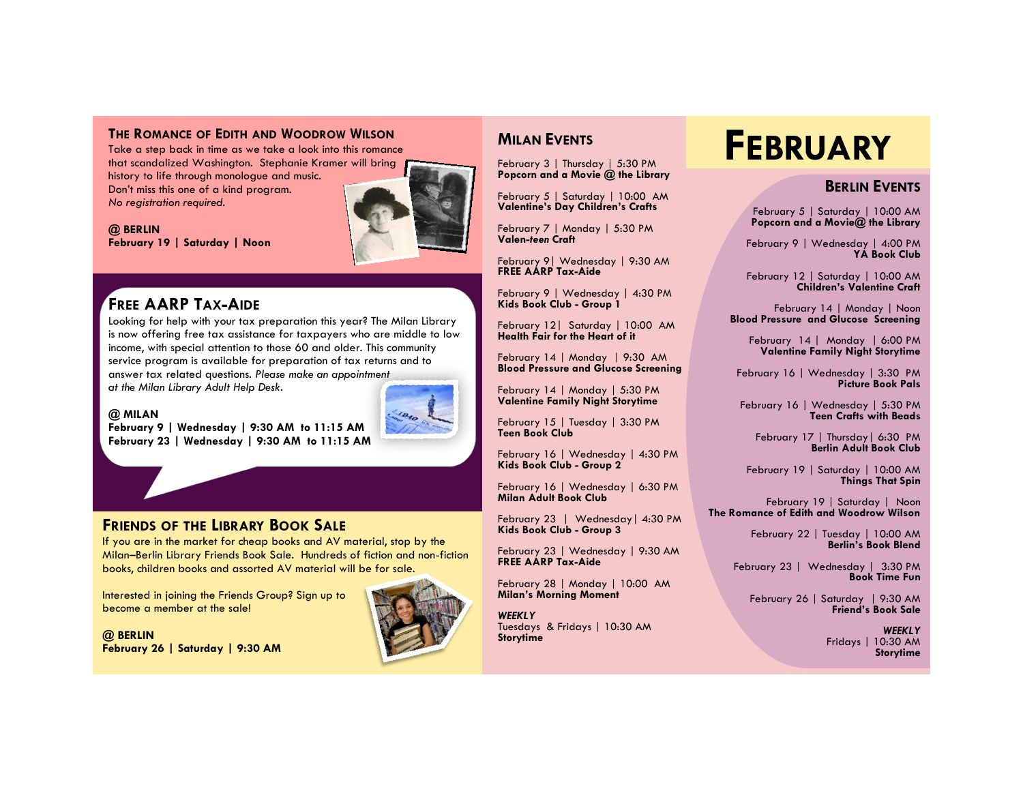#### **THE ROMANCE OF EDITH AND WOODROW WILSON**

Take a step back in time as we take a look into this romance that scandalized Washington. Stephanie Kramer will bring history to life through monologue and music. Don't miss this one of a kind program. *No registration required.*



**@ BERLIN February 19 | Saturday | Noon** 

# **FREE AARP TAX-AIDE**

Looking for help with your tax preparation this year? The Milan Library is now offering free tax assistance for taxpayers who are middle to low income, with special attention to those 60 and older. This community service program is available for preparation of tax returns and to answer tax related questions. *Please make an appointment at the Milan Library Adult Help Desk.*

#### **@ MILAN**



**February 9 | Wednesday | 9:30 AM to 11:15 AM February 23 | Wednesday | 9:30 AM to 11:15 AM** 



If you are in the market for cheap books and AV material, stop by the Milan–Berlin Library Friends Book Sale. Hundreds of fiction and non-fiction books, children books and assorted AV material will be for sale.

Interested in joining the Friends Group? Sign up to become a member at the sale!

**@ BERLIN February 26 | Saturday | 9:30 AM** 



# **MILAN EVENTS**

February 3 | Thursday | 5:30 PM **Popcorn and a Movie @ the Library**

February 5 | Saturday | 10:00 AM **Valentine's Day Children's Crafts** 

February 7 | Monday | 5:30 PM **Valen-***teen* **Craft** 

February 9| Wednesday | 9:30 AM **FREE AARP Tax-Aide**

February 9 | Wednesday | 4:30 PM **Kids Book Club - Group 1**

February 12| Saturday | 10:00 AM **Health Fair for the Heart of it**

February 14 | Monday | 9:30 AM **Blood Pressure and Glucose Screening**

February 14 | Monday | 5:30 PM **Valentine Family Night Storytime**

February 15 | Tuesday | 3:30 PM **Teen Book Club**

February 16 | Wednesday | 4:30 PM **Kids Book Club - Group 2**

February 16 | Wednesday | 6:30 PM **Milan Adult Book Club**

February 23 | Wednesday| 4:30 PM **Kids Book Club - Group 3**

February 23 | Wednesday | 9:30 AM **FREE AARP Tax-Aide**

February 28 | Monday | 10:00 AM **Milan's Morning Moment**

*WEEKLY* Tuesdays & Fridays | 10:30 AM **Storytime**

# **FEBRUARY**

### **BERLIN EVENTS**

February 5 | Saturday | 10:00 AM **Popcorn and a Movie@ the Library** 

February 9 | Wednesday | 4:00 PM **YA Book Club**

February 12 | Saturday | 10:00 AM **Children's Valentine Craft**

February 14 | Monday | Noon **Blood Pressure and Glucose Screening**

> February 14 | Monday | 6:00 PM **Valentine Family Night Storytime**

February 16 | Wednesday | 3:30 PM **Picture Book Pals** 

February 16 | Wednesday | 5:30 PM **Teen Crafts with Beads**

February 17 | Thursday | 6:30 PM **Berlin Adult Book Club**

February 19 | Saturday | 10:00 AM **Things That Spin**

February 19 | Saturday | Noon **The Romance of Edith and Woodrow Wilson**

> February 22 | Tuesday | 10:00 AM **Berlin's Book Blend**

February 23 | Wednesday | 3:30 PM **Book Time Fun**

February 26 | Saturday | 9:30 AM **Friend's Book Sale** 

> *WEEKLY* Fridays | 10:30 AM **Storytime**